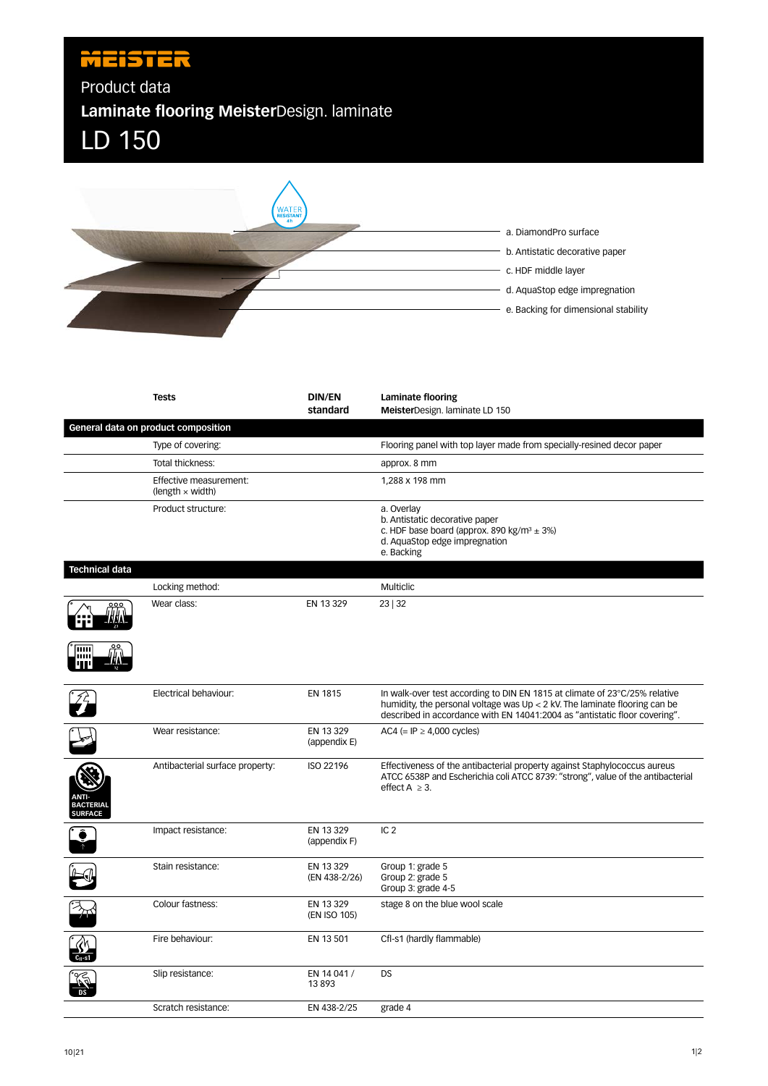## **MEISTER**

Product data

**Laminate flooring Meister**Design. laminate





|                                                    | <b>Tests</b>                                      | <b>DIN/EN</b><br>standard  | Laminate flooring<br>MeisterDesign. laminate LD 150                                                                                                                                                                                      |
|----------------------------------------------------|---------------------------------------------------|----------------------------|------------------------------------------------------------------------------------------------------------------------------------------------------------------------------------------------------------------------------------------|
|                                                    | General data on product composition               |                            |                                                                                                                                                                                                                                          |
|                                                    | Type of covering:                                 |                            | Flooring panel with top layer made from specially-resined decor paper                                                                                                                                                                    |
|                                                    | Total thickness:                                  |                            | approx. 8 mm                                                                                                                                                                                                                             |
|                                                    | Effective measurement:<br>(length $\times$ width) |                            | 1,288 x 198 mm                                                                                                                                                                                                                           |
|                                                    | Product structure:                                |                            | a. Overlay<br>b. Antistatic decorative paper<br>c. HDF base board (approx. 890 kg/m <sup>3</sup> $\pm$ 3%)<br>d. AquaStop edge impregnation<br>e. Backing                                                                                |
| <b>Technical data</b>                              |                                                   |                            |                                                                                                                                                                                                                                          |
|                                                    | Locking method:                                   |                            | <b>Multiclic</b>                                                                                                                                                                                                                         |
|                                                    | Wear class:                                       | EN 13 329                  | 23 32                                                                                                                                                                                                                                    |
| TITTI                                              |                                                   |                            |                                                                                                                                                                                                                                          |
|                                                    | Electrical behaviour:                             | <b>EN 1815</b>             | In walk-over test according to DIN EN 1815 at climate of 23°C/25% relative<br>humidity, the personal voltage was $Up < 2$ kV. The laminate flooring can be<br>described in accordance with EN 14041:2004 as "antistatic floor covering". |
|                                                    | Wear resistance:                                  | EN 13 329<br>(appendix E)  | AC4 (= IP $\geq$ 4,000 cycles)                                                                                                                                                                                                           |
| <b>ANTI-</b><br><b>BACTERIAL</b><br><b>SURFACE</b> | Antibacterial surface property:                   | ISO 22196                  | Effectiveness of the antibacterial property against Staphylococcus aureus<br>ATCC 6538P and Escherichia coli ATCC 8739: "strong", value of the antibacterial<br>effect $A \geq 3$ .                                                      |
|                                                    | Impact resistance:                                | EN 13 329<br>(appendix F)  | IC <sub>2</sub>                                                                                                                                                                                                                          |
|                                                    | Stain resistance:                                 | EN 13 329<br>(EN 438-2/26) | Group 1: grade 5<br>Group 2: grade 5<br>Group 3: grade 4-5                                                                                                                                                                               |
|                                                    | Colour fastness:                                  | EN 13 329<br>(EN ISO 105)  | stage 8 on the blue wool scale                                                                                                                                                                                                           |
|                                                    | Fire behaviour:                                   | EN 13 501                  | Cfl-s1 (hardly flammable)                                                                                                                                                                                                                |
|                                                    | Slip resistance:                                  | EN 14 041 /<br>13893       | <b>DS</b>                                                                                                                                                                                                                                |
|                                                    | Scratch resistance:                               | EN 438-2/25                | grade 4                                                                                                                                                                                                                                  |